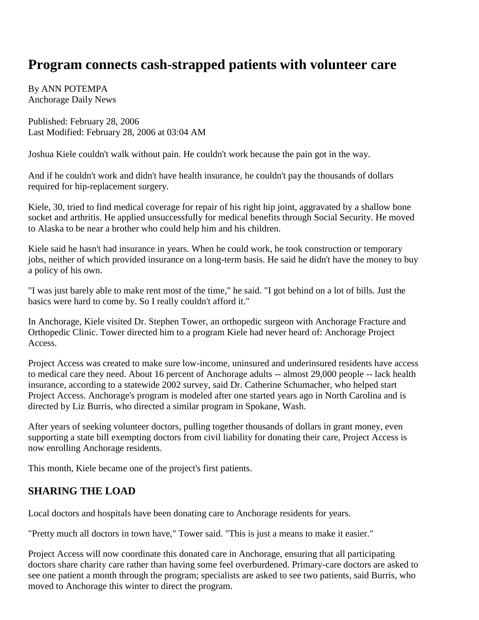## **Program connects cash-strapped patients with volunteer care**

By ANN POTEMPA Anchorage Daily News

Published: February 28, 2006 Last Modified: February 28, 2006 at 03:04 AM

Joshua Kiele couldn't walk without pain. He couldn't work because the pain got in the way.

And if he couldn't work and didn't have health insurance, he couldn't pay the thousands of dollars required for hip-replacement surgery.

Kiele, 30, tried to find medical coverage for repair of his right hip joint, aggravated by a shallow bone socket and arthritis. He applied unsuccessfully for medical benefits through Social Security. He moved to Alaska to be near a brother who could help him and his children.

Kiele said he hasn't had insurance in years. When he could work, he took construction or temporary jobs, neither of which provided insurance on a long-term basis. He said he didn't have the money to buy a policy of his own.

"I was just barely able to make rent most of the time," he said. "I got behind on a lot of bills. Just the basics were hard to come by. So I really couldn't afford it."

In Anchorage, Kiele visited Dr. Stephen Tower, an orthopedic surgeon with Anchorage Fracture and Orthopedic Clinic. Tower directed him to a program Kiele had never heard of: Anchorage Project Access.

Project Access was created to make sure low-income, uninsured and underinsured residents have access to medical care they need. About 16 percent of Anchorage adults -- almost 29,000 people -- lack health insurance, according to a statewide 2002 survey, said Dr. Catherine Schumacher, who helped start Project Access. Anchorage's program is modeled after one started years ago in North Carolina and is directed by Liz Burris, who directed a similar program in Spokane, Wash.

After years of seeking volunteer doctors, pulling together thousands of dollars in grant money, even supporting a state bill exempting doctors from civil liability for donating their care, Project Access is now enrolling Anchorage residents.

This month, Kiele became one of the project's first patients.

## **SHARING THE LOAD**

Local doctors and hospitals have been donating care to Anchorage residents for years.

"Pretty much all doctors in town have," Tower said. "This is just a means to make it easier."

Project Access will now coordinate this donated care in Anchorage, ensuring that all participating doctors share charity care rather than having some feel overburdened. Primary-care doctors are asked to see one patient a month through the program; specialists are asked to see two patients, said Burris, who moved to Anchorage this winter to direct the program.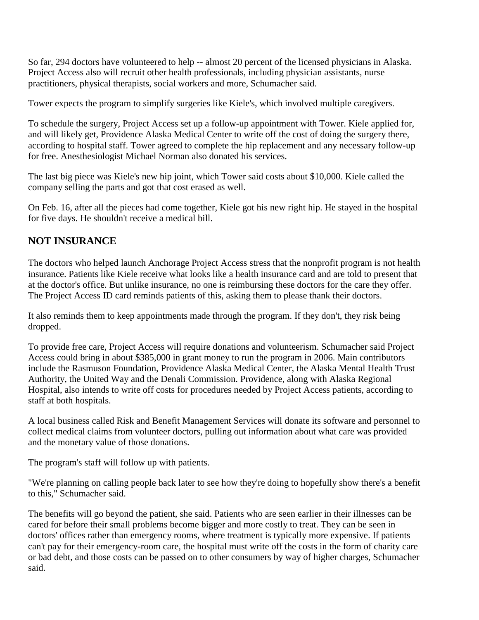So far, 294 doctors have volunteered to help -- almost 20 percent of the licensed physicians in Alaska. Project Access also will recruit other health professionals, including physician assistants, nurse practitioners, physical therapists, social workers and more, Schumacher said.

Tower expects the program to simplify surgeries like Kiele's, which involved multiple caregivers.

To schedule the surgery, Project Access set up a follow-up appointment with Tower. Kiele applied for, and will likely get, Providence Alaska Medical Center to write off the cost of doing the surgery there, according to hospital staff. Tower agreed to complete the hip replacement and any necessary follow-up for free. Anesthesiologist Michael Norman also donated his services.

The last big piece was Kiele's new hip joint, which Tower said costs about \$10,000. Kiele called the company selling the parts and got that cost erased as well.

On Feb. 16, after all the pieces had come together, Kiele got his new right hip. He stayed in the hospital for five days. He shouldn't receive a medical bill.

## **NOT INSURANCE**

The doctors who helped launch Anchorage Project Access stress that the nonprofit program is not health insurance. Patients like Kiele receive what looks like a health insurance card and are told to present that at the doctor's office. But unlike insurance, no one is reimbursing these doctors for the care they offer. The Project Access ID card reminds patients of this, asking them to please thank their doctors.

It also reminds them to keep appointments made through the program. If they don't, they risk being dropped.

To provide free care, Project Access will require donations and volunteerism. Schumacher said Project Access could bring in about \$385,000 in grant money to run the program in 2006. Main contributors include the Rasmuson Foundation, Providence Alaska Medical Center, the Alaska Mental Health Trust Authority, the United Way and the Denali Commission. Providence, along with Alaska Regional Hospital, also intends to write off costs for procedures needed by Project Access patients, according to staff at both hospitals.

A local business called Risk and Benefit Management Services will donate its software and personnel to collect medical claims from volunteer doctors, pulling out information about what care was provided and the monetary value of those donations.

The program's staff will follow up with patients.

"We're planning on calling people back later to see how they're doing to hopefully show there's a benefit to this," Schumacher said.

The benefits will go beyond the patient, she said. Patients who are seen earlier in their illnesses can be cared for before their small problems become bigger and more costly to treat. They can be seen in doctors' offices rather than emergency rooms, where treatment is typically more expensive. If patients can't pay for their emergency-room care, the hospital must write off the costs in the form of charity care or bad debt, and those costs can be passed on to other consumers by way of higher charges, Schumacher said.